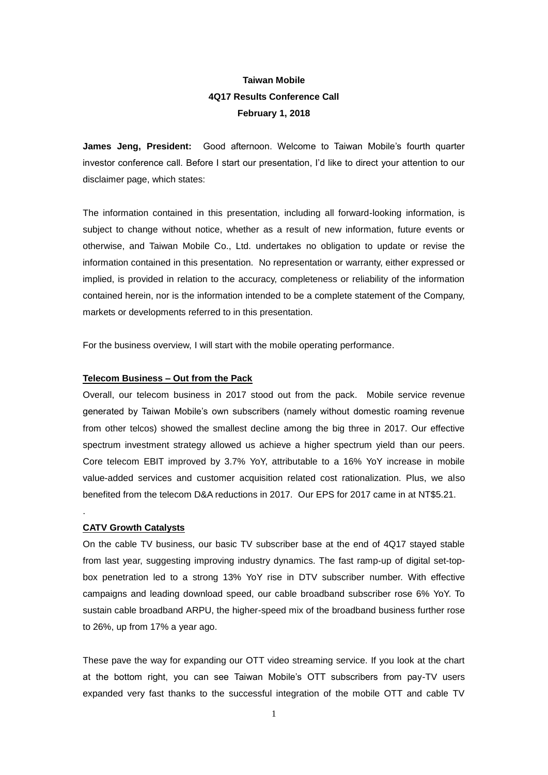# **Taiwan Mobile 4Q17 Results Conference Call February 1, 2018**

**James Jeng, President:** Good afternoon. Welcome to Taiwan Mobile's fourth quarter investor conference call. Before I start our presentation, I'd like to direct your attention to our disclaimer page, which states:

The information contained in this presentation, including all forward-looking information, is subject to change without notice, whether as a result of new information, future events or otherwise, and Taiwan Mobile Co., Ltd. undertakes no obligation to update or revise the information contained in this presentation. No representation or warranty, either expressed or implied, is provided in relation to the accuracy, completeness or reliability of the information contained herein, nor is the information intended to be a complete statement of the Company, markets or developments referred to in this presentation.

For the business overview, I will start with the mobile operating performance.

## **Telecom Business – Out from the Pack**

Overall, our telecom business in 2017 stood out from the pack. Mobile service revenue generated by Taiwan Mobile's own subscribers (namely without domestic roaming revenue from other telcos) showed the smallest decline among the big three in 2017. Our effective spectrum investment strategy allowed us achieve a higher spectrum yield than our peers. Core telecom EBIT improved by 3.7% YoY, attributable to a 16% YoY increase in mobile value-added services and customer acquisition related cost rationalization. Plus, we also benefited from the telecom D&A reductions in 2017. Our EPS for 2017 came in at NT\$5.21.

## **CATV Growth Catalysts**

.

On the cable TV business, our basic TV subscriber base at the end of 4Q17 stayed stable from last year, suggesting improving industry dynamics. The fast ramp-up of digital set-topbox penetration led to a strong 13% YoY rise in DTV subscriber number. With effective campaigns and leading download speed, our cable broadband subscriber rose 6% YoY. To sustain cable broadband ARPU, the higher-speed mix of the broadband business further rose to 26%, up from 17% a year ago.

These pave the way for expanding our OTT video streaming service. If you look at the chart at the bottom right, you can see Taiwan Mobile's OTT subscribers from pay-TV users expanded very fast thanks to the successful integration of the mobile OTT and cable TV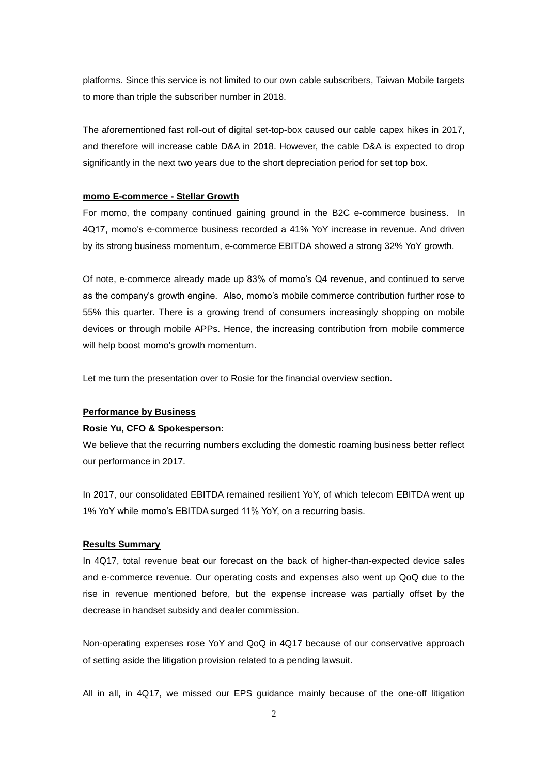platforms. Since this service is not limited to our own cable subscribers, Taiwan Mobile targets to more than triple the subscriber number in 2018.

The aforementioned fast roll-out of digital set-top-box caused our cable capex hikes in 2017, and therefore will increase cable D&A in 2018. However, the cable D&A is expected to drop significantly in the next two years due to the short depreciation period for set top box.

## **momo E-commerce - Stellar Growth**

For momo, the company continued gaining ground in the B2C e-commerce business. In 4Q17, momo's e-commerce business recorded a 41% YoY increase in revenue. And driven by its strong business momentum, e-commerce EBITDA showed a strong 32% YoY growth.

Of note, e-commerce already made up 83% of momo's Q4 revenue, and continued to serve as the company's growth engine. Also, momo's mobile commerce contribution further rose to 55% this quarter. There is a growing trend of consumers increasingly shopping on mobile devices or through mobile APPs. Hence, the increasing contribution from mobile commerce will help boost momo's growth momentum.

Let me turn the presentation over to Rosie for the financial overview section.

## **Performance by Business**

#### **Rosie Yu, CFO & Spokesperson:**

We believe that the recurring numbers excluding the domestic roaming business better reflect our performance in 2017.

In 2017, our consolidated EBITDA remained resilient YoY, of which telecom EBITDA went up 1% YoY while momo's EBITDA surged 11% YoY, on a recurring basis.

#### **Results Summary**

In 4Q17, total revenue beat our forecast on the back of higher-than-expected device sales and e-commerce revenue. Our operating costs and expenses also went up QoQ due to the rise in revenue mentioned before, but the expense increase was partially offset by the decrease in handset subsidy and dealer commission.

Non-operating expenses rose YoY and QoQ in 4Q17 because of our conservative approach of setting aside the litigation provision related to a pending lawsuit.

All in all, in 4Q17, we missed our EPS guidance mainly because of the one-off litigation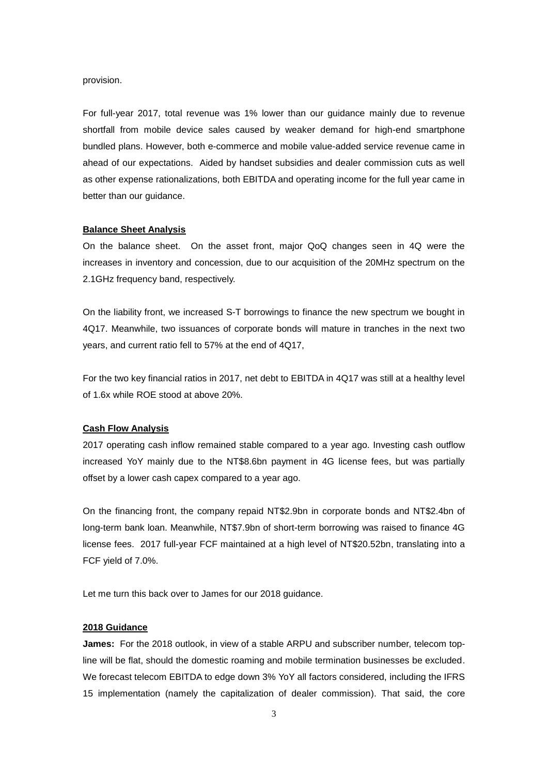#### provision.

For full-year 2017, total revenue was 1% lower than our guidance mainly due to revenue shortfall from mobile device sales caused by weaker demand for high-end smartphone bundled plans. However, both e-commerce and mobile value-added service revenue came in ahead of our expectations. Aided by handset subsidies and dealer commission cuts as well as other expense rationalizations, both EBITDA and operating income for the full year came in better than our guidance.

## **Balance Sheet Analysis**

On the balance sheet. On the asset front, major QoQ changes seen in 4Q were the increases in inventory and concession, due to our acquisition of the 20MHz spectrum on the 2.1GHz frequency band, respectively.

On the liability front, we increased S-T borrowings to finance the new spectrum we bought in 4Q17. Meanwhile, two issuances of corporate bonds will mature in tranches in the next two years, and current ratio fell to 57% at the end of 4Q17,

For the two key financial ratios in 2017, net debt to EBITDA in 4Q17 was still at a healthy level of 1.6x while ROE stood at above 20%.

#### **Cash Flow Analysis**

2017 operating cash inflow remained stable compared to a year ago. Investing cash outflow increased YoY mainly due to the NT\$8.6bn payment in 4G license fees, but was partially offset by a lower cash capex compared to a year ago.

On the financing front, the company repaid NT\$2.9bn in corporate bonds and NT\$2.4bn of long-term bank loan. Meanwhile, NT\$7.9bn of short-term borrowing was raised to finance 4G license fees. 2017 full-year FCF maintained at a high level of NT\$20.52bn, translating into a FCF yield of 7.0%.

Let me turn this back over to James for our 2018 quidance.

#### **2018 Guidance**

**James:** For the 2018 outlook, in view of a stable ARPU and subscriber number, telecom topline will be flat, should the domestic roaming and mobile termination businesses be excluded. We forecast telecom EBITDA to edge down 3% YoY all factors considered, including the IFRS 15 implementation (namely the capitalization of dealer commission). That said, the core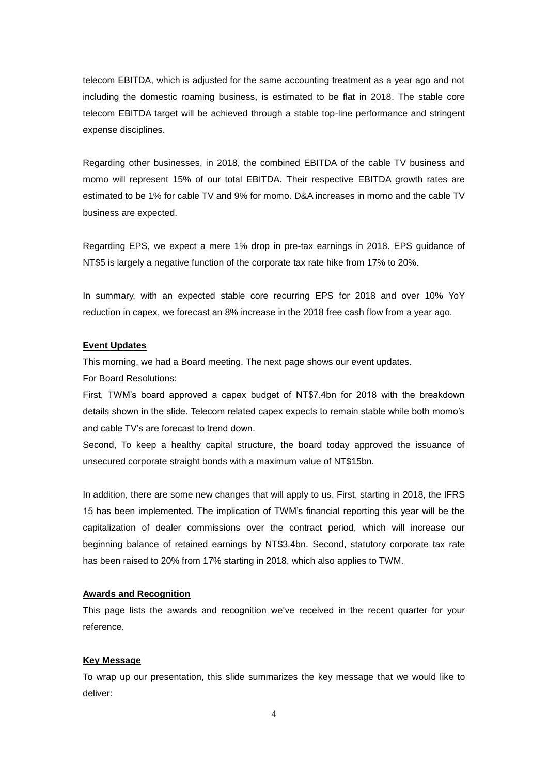telecom EBITDA, which is adjusted for the same accounting treatment as a year ago and not including the domestic roaming business, is estimated to be flat in 2018. The stable core telecom EBITDA target will be achieved through a stable top-line performance and stringent expense disciplines.

Regarding other businesses, in 2018, the combined EBITDA of the cable TV business and momo will represent 15% of our total EBITDA. Their respective EBITDA growth rates are estimated to be 1% for cable TV and 9% for momo. D&A increases in momo and the cable TV business are expected.

Regarding EPS, we expect a mere 1% drop in pre-tax earnings in 2018. EPS guidance of NT\$5 is largely a negative function of the corporate tax rate hike from 17% to 20%.

In summary, with an expected stable core recurring EPS for 2018 and over 10% YoY reduction in capex, we forecast an 8% increase in the 2018 free cash flow from a year ago.

#### **Event Updates**

This morning, we had a Board meeting. The next page shows our event updates. For Board Resolutions:

First, TWM's board approved a capex budget of NT\$7.4bn for 2018 with the breakdown details shown in the slide. Telecom related capex expects to remain stable while both momo's and cable TV's are forecast to trend down.

Second, To keep a healthy capital structure, the board today approved the issuance of unsecured corporate straight bonds with a maximum value of NT\$15bn.

In addition, there are some new changes that will apply to us. First, starting in 2018, the IFRS 15 has been implemented. The implication of TWM's financial reporting this year will be the capitalization of dealer commissions over the contract period, which will increase our beginning balance of retained earnings by NT\$3.4bn. Second, statutory corporate tax rate has been raised to 20% from 17% starting in 2018, which also applies to TWM.

#### **Awards and Recognition**

This page lists the awards and recognition we've received in the recent quarter for your reference.

### **Key Message**

To wrap up our presentation, this slide summarizes the key message that we would like to deliver: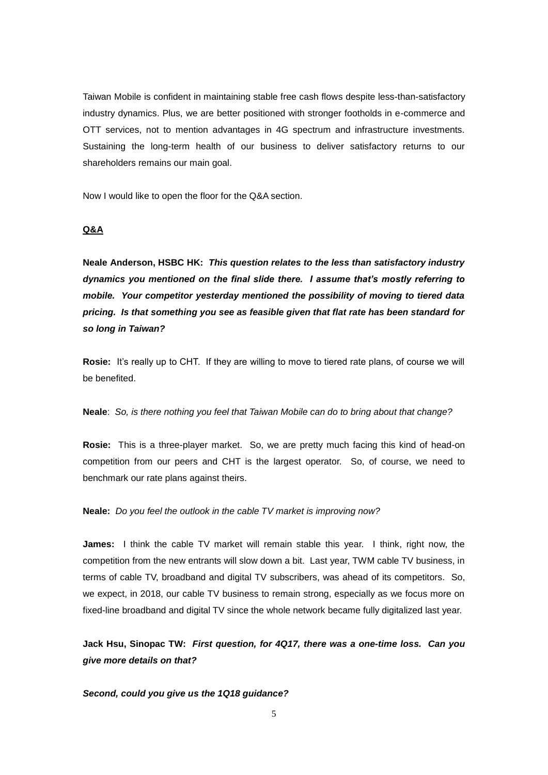Taiwan Mobile is confident in maintaining stable free cash flows despite less-than-satisfactory industry dynamics. Plus, we are better positioned with stronger footholds in e-commerce and OTT services, not to mention advantages in 4G spectrum and infrastructure investments. Sustaining the long-term health of our business to deliver satisfactory returns to our shareholders remains our main goal.

Now I would like to open the floor for the Q&A section.

## **Q&A**

**Neale Anderson, HSBC HK:** *This question relates to the less than satisfactory industry dynamics you mentioned on the final slide there. I assume that's mostly referring to mobile. Your competitor yesterday mentioned the possibility of moving to tiered data pricing. Is that something you see as feasible given that flat rate has been standard for so long in Taiwan?*

**Rosie:** It's really up to CHT. If they are willing to move to tiered rate plans, of course we will be benefited.

**Neale**: *So, is there nothing you feel that Taiwan Mobile can do to bring about that change?*

**Rosie:** This is a three-player market. So, we are pretty much facing this kind of head-on competition from our peers and CHT is the largest operator. So, of course, we need to benchmark our rate plans against theirs.

**Neale:** *Do you feel the outlook in the cable TV market is improving now?*

**James:** I think the cable TV market will remain stable this year. I think, right now, the competition from the new entrants will slow down a bit. Last year, TWM cable TV business, in terms of cable TV, broadband and digital TV subscribers, was ahead of its competitors. So, we expect, in 2018, our cable TV business to remain strong, especially as we focus more on fixed-line broadband and digital TV since the whole network became fully digitalized last year.

**Jack Hsu, Sinopac TW:** *First question, for 4Q17, there was a one-time loss. Can you give more details on that?*

*Second, could you give us the 1Q18 guidance?*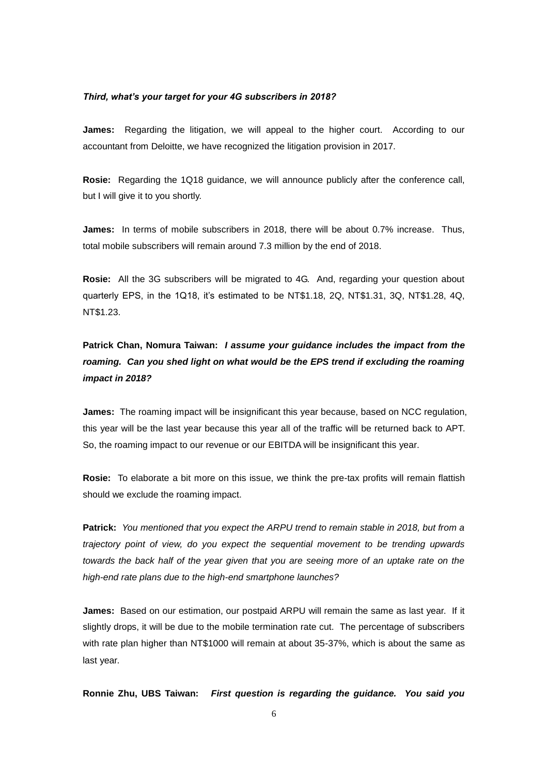#### *Third, what's your target for your 4G subscribers in 2018?*

**James:** Regarding the litigation, we will appeal to the higher court. According to our accountant from Deloitte, we have recognized the litigation provision in 2017.

**Rosie:** Regarding the 1Q18 guidance, we will announce publicly after the conference call, but I will give it to you shortly.

**James:** In terms of mobile subscribers in 2018, there will be about 0.7% increase. Thus, total mobile subscribers will remain around 7.3 million by the end of 2018.

**Rosie:** All the 3G subscribers will be migrated to 4G. And, regarding your question about quarterly EPS, in the 1Q18, it's estimated to be NT\$1.18, 2Q, NT\$1.31, 3Q, NT\$1.28, 4Q, NT\$1.23.

**Patrick Chan, Nomura Taiwan:** *I assume your guidance includes the impact from the roaming. Can you shed light on what would be the EPS trend if excluding the roaming impact in 2018?*

**James:** The roaming impact will be insignificant this year because, based on NCC regulation, this year will be the last year because this year all of the traffic will be returned back to APT. So, the roaming impact to our revenue or our EBITDA will be insignificant this year.

**Rosie:** To elaborate a bit more on this issue, we think the pre-tax profits will remain flattish should we exclude the roaming impact.

**Patrick:** *You mentioned that you expect the ARPU trend to remain stable in 2018, but from a trajectory point of view, do you expect the sequential movement to be trending upwards towards the back half of the year given that you are seeing more of an uptake rate on the high-end rate plans due to the high-end smartphone launches?*

**James:** Based on our estimation, our postpaid ARPU will remain the same as last year. If it slightly drops, it will be due to the mobile termination rate cut. The percentage of subscribers with rate plan higher than NT\$1000 will remain at about 35-37%, which is about the same as last year.

**Ronnie Zhu, UBS Taiwan:** *First question is regarding the guidance. You said you*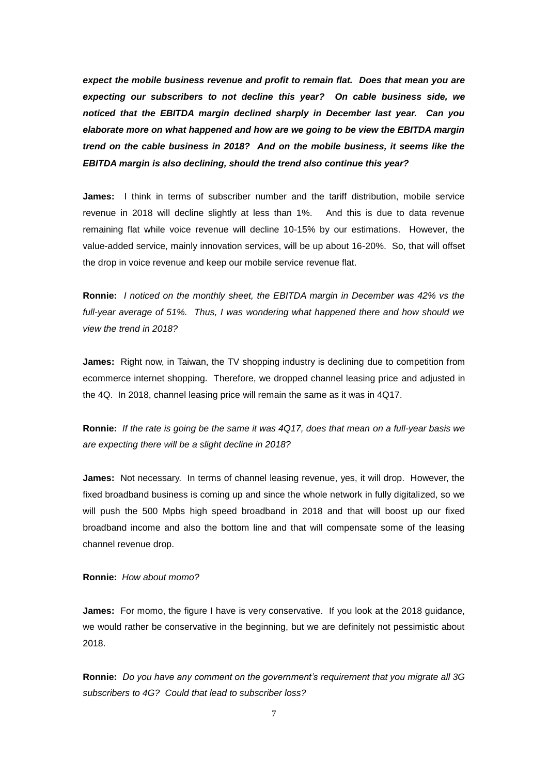*expect the mobile business revenue and profit to remain flat. Does that mean you are expecting our subscribers to not decline this year? On cable business side, we noticed that the EBITDA margin declined sharply in December last year. Can you elaborate more on what happened and how are we going to be view the EBITDA margin trend on the cable business in 2018? And on the mobile business, it seems like the EBITDA margin is also declining, should the trend also continue this year?*

**James:** I think in terms of subscriber number and the tariff distribution, mobile service revenue in 2018 will decline slightly at less than 1%. And this is due to data revenue remaining flat while voice revenue will decline 10-15% by our estimations. However, the value-added service, mainly innovation services, will be up about 16-20%. So, that will offset the drop in voice revenue and keep our mobile service revenue flat.

**Ronnie:** *I noticed on the monthly sheet, the EBITDA margin in December was 42% vs the full-year average of 51%. Thus, I was wondering what happened there and how should we view the trend in 2018?*

**James:** Right now, in Taiwan, the TV shopping industry is declining due to competition from ecommerce internet shopping. Therefore, we dropped channel leasing price and adjusted in the 4Q. In 2018, channel leasing price will remain the same as it was in 4Q17.

**Ronnie:** *If the rate is going be the same it was 4Q17, does that mean on a full-year basis we are expecting there will be a slight decline in 2018?*

**James:** Not necessary. In terms of channel leasing revenue, yes, it will drop. However, the fixed broadband business is coming up and since the whole network in fully digitalized, so we will push the 500 Mpbs high speed broadband in 2018 and that will boost up our fixed broadband income and also the bottom line and that will compensate some of the leasing channel revenue drop.

#### **Ronnie:** *How about momo?*

**James:** For momo, the figure I have is very conservative. If you look at the 2018 guidance, we would rather be conservative in the beginning, but we are definitely not pessimistic about 2018.

**Ronnie:** *Do you have any comment on the government's requirement that you migrate all 3G subscribers to 4G? Could that lead to subscriber loss?*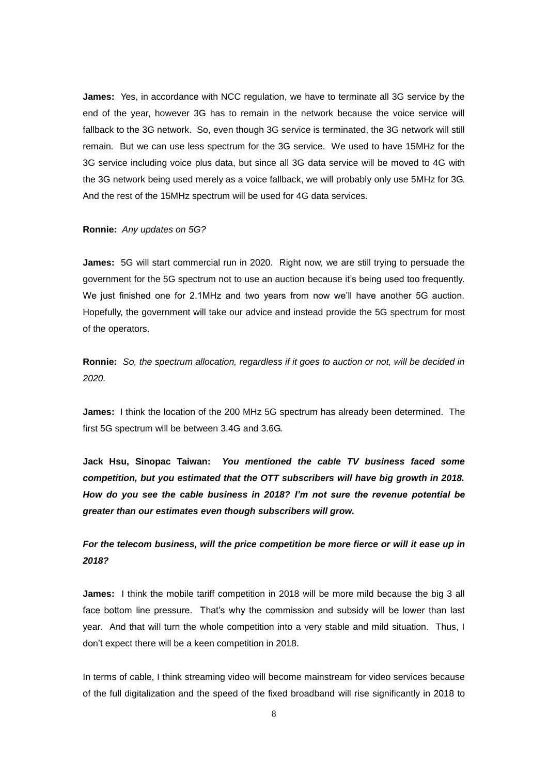**James:** Yes, in accordance with NCC regulation, we have to terminate all 3G service by the end of the year, however 3G has to remain in the network because the voice service will fallback to the 3G network. So, even though 3G service is terminated, the 3G network will still remain. But we can use less spectrum for the 3G service. We used to have 15MHz for the 3G service including voice plus data, but since all 3G data service will be moved to 4G with the 3G network being used merely as a voice fallback, we will probably only use 5MHz for 3G. And the rest of the 15MHz spectrum will be used for 4G data services.

#### **Ronnie:** *Any updates on 5G?*

**James:** 5G will start commercial run in 2020. Right now, we are still trying to persuade the government for the 5G spectrum not to use an auction because it's being used too frequently. We just finished one for 2.1MHz and two years from now we'll have another 5G auction. Hopefully, the government will take our advice and instead provide the 5G spectrum for most of the operators.

**Ronnie:** *So, the spectrum allocation, regardless if it goes to auction or not, will be decided in 2020.* 

**James:** I think the location of the 200 MHz 5G spectrum has already been determined. The first 5G spectrum will be between 3.4G and 3.6G.

**Jack Hsu, Sinopac Taiwan:** *You mentioned the cable TV business faced some competition, but you estimated that the OTT subscribers will have big growth in 2018. How do you see the cable business in 2018? I'm not sure the revenue potential be greater than our estimates even though subscribers will grow.* 

## *For the telecom business, will the price competition be more fierce or will it ease up in 2018?*

**James:** I think the mobile tariff competition in 2018 will be more mild because the big 3 all face bottom line pressure. That's why the commission and subsidy will be lower than last year. And that will turn the whole competition into a very stable and mild situation. Thus, I don't expect there will be a keen competition in 2018.

In terms of cable, I think streaming video will become mainstream for video services because of the full digitalization and the speed of the fixed broadband will rise significantly in 2018 to